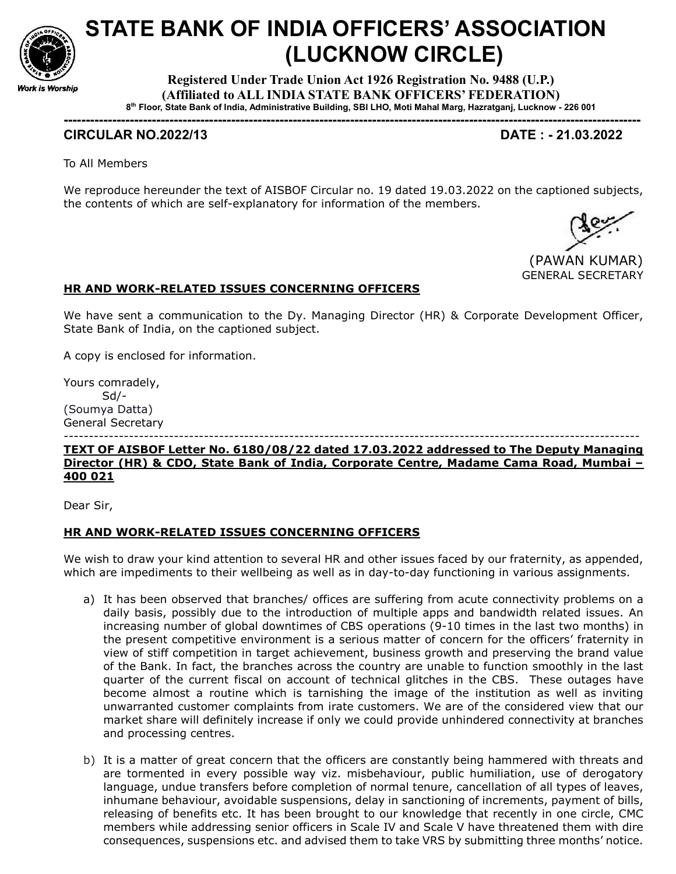

# STATE BANK OF INDIA OFFICERS' ASSOCIATION (LUCKNOW CIRCLE)

Registered Under Trade Union Act 1926 Registration No. 9488 (U.P.) (Affiliated to ALL INDIA STATE BANK OFFICERS' FEDERATION) 8 th Floor, State Bank of India, Administrative Building, SBI LHO, Moti Mahal Marg, Hazratganj, Lucknow - 226 001

-----------------------------------------------------------------------------------------------------------------------------------

## CIRCULAR NO.2022/13 DATE : - 21.03.2022

To All Members

We reproduce hereunder the text of AISBOF Circular no. 19 dated 19.03.2022 on the captioned subjects, the contents of which are self-explanatory for information of the members.



### HR AND WORK-RELATED ISSUES CONCERNING OFFICERS

We have sent a communication to the Dy. Managing Director (HR) & Corporate Development Officer, State Bank of India, on the captioned subject.

A copy is enclosed for information.

Yours comradely, Sd/- (Soumya Datta) General Secretary

#### ------------------------------------------------------------------------------------------------------------------- TEXT OF AISBOF Letter No. 6180/08/22 dated 17.03.2022 addressed to The Deputy Managing Director (HR) & CDO, State Bank of India, Corporate Centre, Madame Cama Road, Mumbai – 400 021

Dear Sir,

### HR AND WORK-RELATED ISSUES CONCERNING OFFICERS

We wish to draw your kind attention to several HR and other issues faced by our fraternity, as appended, which are impediments to their wellbeing as well as in day-to-day functioning in various assignments.

- a) It has been observed that branches/ offices are suffering from acute connectivity problems on a daily basis, possibly due to the introduction of multiple apps and bandwidth related issues. An increasing number of global downtimes of CBS operations (9-10 times in the last two months) in the present competitive environment is a serious matter of concern for the officers' fraternity in view of stiff competition in target achievement, business growth and preserving the brand value of the Bank. In fact, the branches across the country are unable to function smoothly in the last quarter of the current fiscal on account of technical glitches in the CBS. These outages have become almost a routine which is tarnishing the image of the institution as well as inviting unwarranted customer complaints from irate customers. We are of the considered view that our market share will definitely increase if only we could provide unhindered connectivity at branches and processing centres.
- b) It is a matter of great concern that the officers are constantly being hammered with threats and are tormented in every possible way viz. misbehaviour, public humiliation, use of derogatory language, undue transfers before completion of normal tenure, cancellation of all types of leaves, inhumane behaviour, avoidable suspensions, delay in sanctioning of increments, payment of bills, releasing of benefits etc. It has been brought to our knowledge that recently in one circle, CMC members while addressing senior officers in Scale IV and Scale V have threatened them with dire consequences, suspensions etc. and advised them to take VRS by submitting three months' notice.